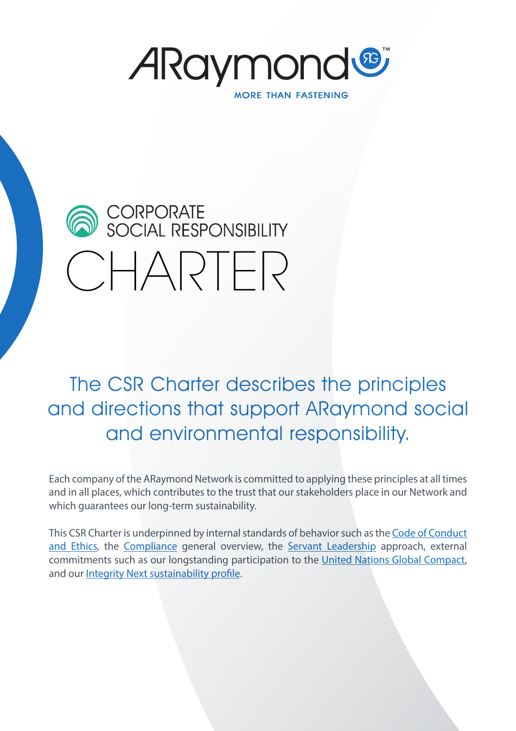*A*Raymond® **MORE THAN FASTENING** 



The CSR Charter describes the principles and directions that support ARaymond social and environmental responsibility.

Each company of the ARaymond Network is committed to applying these principles at all times and in all places, which contributes to the trust that our stakeholders place in our Network and which guarantees our long-term sustainability.

This CSR Charter is underpinned by internal standards of behavior such as the [Code of Conduct](https://www.araymond.com/sites/default/files/medias/document/2019/ARaymond_code-of-conduct_V8_EN.pdf) [and Ethics](https://www.araymond.com/sites/default/files/medias/document/2019/ARaymond_code-of-conduct_V8_EN.pdf), the [Compliance](https://www.araymond.com/sites/default/files/medias/document/2019/ARAYMOND%20COMPLIANCE%20%E2%80%93%20GENERAL%20OVERVIEW-mai%202019-v4.pdf) general overview, the [Servant Leadership](https://www.araymond.com/sites/default/files/medias/document/2019/ARaymond_what%20is%20servant%20leadership.pdf) approach, external commitments such as our longstanding participation to the [United Nations Global Compact](https://www.unglobalcompact.org/what-is-gc/participants/37#cop), and our [Integrity Next sustainability profile](https://app.integritynext.com/profiles/8e21e28d-7dd3-44e5-b56b-9525cd2175a1).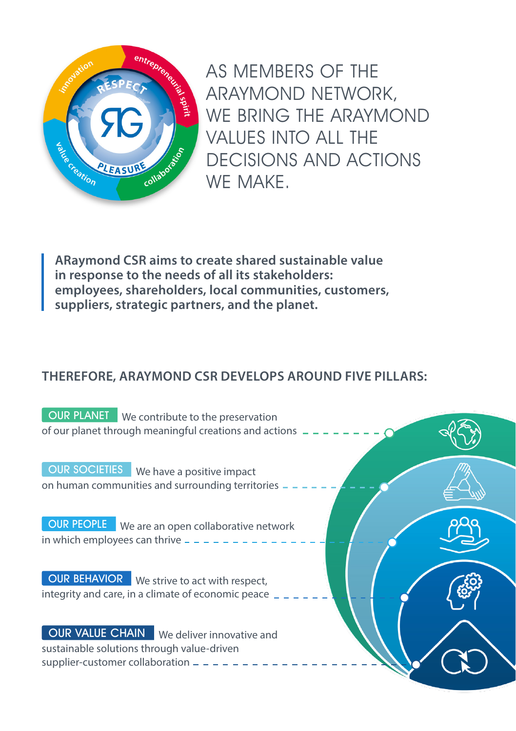

AS MEMBERS OF THE ARAYMOND NETWORK, WE BRING THE ARAYMOND VALUES INTO ALL THE DECISIONS AND ACTIONS WE MAKE.

**ARaymond CSR aims to create shared sustainable value in response to the needs of all its stakeholders: employees, shareholders, local communities, customers, suppliers, strategic partners, and the planet.** 

# **THEREFORE, ARAYMOND CSR DEVELOPS AROUND FIVE PILLARS:**

**OUR PLANET** We contribute to the preservation of our planet through meaningful creations and actions

**OUR SOCIETIES** We have a positive impact on human communities and surrounding territories

**OUR PEOPLE** We are an open collaborative network in which employees can thrive  $-$ .

**OUR BEHAVIOR** We strive to act with respect, integrity and care, in a climate of economic peace

**OUR VALUE CHAIN** We deliver innovative and sustainable solutions through value-driven supplier-customer collaboration -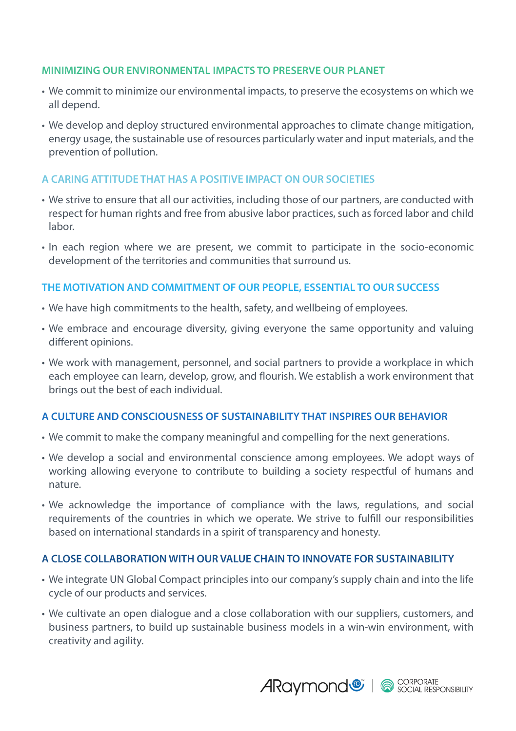#### **MINIMIZING OUR ENVIRONMENTAL IMPACTS TO PRESERVE OUR PLANET**

- We commit to minimize our environmental impacts, to preserve the ecosystems on which we all depend.
- We develop and deploy structured environmental approaches to climate change mitigation, energy usage, the sustainable use of resources particularly water and input materials, and the prevention of pollution.

## **A CARING ATTITUDE THAT HAS A POSITIVE IMPACT ON OUR SOCIETIES**

- We strive to ensure that all our activities, including those of our partners, are conducted with respect for human rights and free from abusive labor practices, such as forced labor and child labor.
- In each region where we are present, we commit to participate in the socio-economic development of the territories and communities that surround us.

### **THE MOTIVATION AND COMMITMENT OF OUR PEOPLE, ESSENTIAL TO OUR SUCCESS**

- We have high commitments to the health, safety, and wellbeing of employees.
- We embrace and encourage diversity, giving everyone the same opportunity and valuing different opinions.
- We work with management, personnel, and social partners to provide a workplace in which each employee can learn, develop, grow, and flourish. We establish a work environment that brings out the best of each individual.

### **A CULTURE AND CONSCIOUSNESS OF SUSTAINABILITY THAT INSPIRES OUR BEHAVIOR**

- We commit to make the company meaningful and compelling for the next generations.
- We develop a social and environmental conscience among employees. We adopt ways of working allowing everyone to contribute to building a society respectful of humans and nature.
- We acknowledge the importance of compliance with the laws, regulations, and social requirements of the countries in which we operate. We strive to fulfill our responsibilities based on international standards in a spirit of transparency and honesty.

### **A CLOSE COLLABORATION WITH OUR VALUE CHAIN TO INNOVATE FOR SUSTAINABILITY**

- We integrate UN Global Compact principles into our company's supply chain and into the life cycle of our products and services.
- We cultivate an open dialogue and a close collaboration with our suppliers, customers, and business partners, to build up sustainable business models in a win-win environment, with creativity and agility.